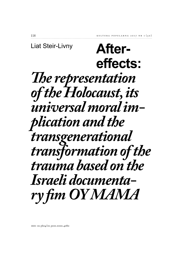# **Aftereffects: The representation** *of the Holocaust, its universal moral implication and the transgenerational transformation of the trauma based on the Israeli documentary fim OY MAMA* Liat Steir-Livny

DOI: 10.5604/01.3001.0010.4080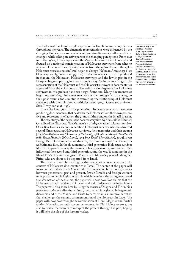The Holocaust has found ample expression in Israeli documentary cinema throughout the years. The cinematic representations were influenced by the changing Holocaust awareness in Israel, and simultaneously influenced these changes, while taking an active part in the changing perceptions. From 1945 until the 1960s, films emphasized the Zionist lessons of the Holocaust and focused on a national transformation of Holocaust survivors from ashes to renewal. Due to various historical events from the 1960s through the 1980s, Holocaust consciousness in Israel began to change (Ne'eman Arad 2003: 5-26; Ofer 2013: 70-85; Porat 2011: 357-378). In documentaries that were produced in that era, the Holocaust, Holocaust survivors, and the Jewish past in the Diaspora began appearing in a more complex way. An immense change in the representation of the Holocaust and the Holocaust survivors in documentaries appeared from the 1980s onward. The role of second-generation Holocaust survivors in this process has been a significant one. Many documentaries began representing Holocaust survivors as the protagonists, focusing on their post-trauma and sometimes examining the relationship of Holocaust survivors with their children (Loshitzky, 2001: 32-71; Gertz 2004: 78-102; Steir-Livny 2009: 96-147).

Since the late 1990s, third-generation Holocaust survivors have been producing documentaries that deal with the Holocaust from their own perspective and represent its effect on the grandchildren and on the Israeli present.

The case study of the paper is the documentary film  $Ov$  *Mama* (Noa Maiman; Orna Ben-Dor Niv, 2010). Noa Maiman is a third-generation Holocaust survivor. Orna Ben Dor is a second-generation Holocaust survivor who has directed several films regarding Holocaust survivors, their memories and their trauma [*Biglal haMilhama haHi* (*Because of that war*), 1988; *Shever Anan* (*Cloudburst*), 1988; *Eretz Hadasha* (*New Land*), 1994 *Ima Tagidi* (*Say Mother*), 2009]. Even though Ben-Dor is signed as co-director, the film is referred to in the media as Maiman's film. In the documentary, third generation Holocaust survivor Maiman explores the way the trauma of her 95-year-old grandmother, Fira, influenced the second and third generation, and the way it combines in the life of Fira's Peruvian caregiver, Magna, and Magna's 5 year-old daughter, Firita, who are about to be deported from Israel.

The paper will start by locating the third-generation documentaries in the context of Holocaust documentaries in Israel. The center of the paper will focus on the analysis of *Oy Mama* and the complex combination it generates between generations, past and present, Jewish-Israelis and foreign workers. As opposed to psychological research, which questions the transgenerational transformation of the trauma, the paper will show how Noa claims that the Holocaust shaped the identity of the second and third generation in her family. The paper will also show how by using the stories of Magna and Firita, Noa preserves stories of a disenfranchised group, which is neglected in hegemonic discourse and turns Magna and Firita to partners in a subversive narrative that challenges the canonic commemoration of the Holocaust in Israel. The paper will show how through the combination of Fira's, Magma's and Firita's stories, Noa asks, not only to commemorate a familial Holocaust story, but also to enable the viewers to interpret the present through the past, hoping it will help the plea of the foreign worker.

**Liat Steir-Livny** is an Assistant Professor at the Department of Culture, Sapir Academic College, Israel and Course Coordinator and Tutor in Master's Program in Cultural Studies & Department of Literature, Language and the Arts at The Open University of Israel. Her research focuses on the changing memory of the Holocaust in Israeli cinema and popular culture.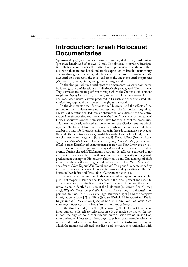### **Introduction: Israeli Holocaust Documentaries**

Approximately 450,000 Holocaust survivors immigrated to the Jewish *Yishuv*  (pre-state Israel), and after  $1948 -$ Israel. The Holocaust survivors' immigration, their encounter with the native Jewish population and the way they deal with their trauma has found ample expression in Israeli documentary cinema throughout the years, which can be divided to three main periods: 1945 until 1961; 1961 until the 1980s and from the late 1980s until the present (Zimmerman, 2002; Gertz, 2004; Steir-Livny, 2009).

In the first period (1945 until 1961) the documentaries were dominated by ideological considerations and distinctively propagated Zionist ideas. They served as an artistic platform through which the Zionist establishment sought to display its political, national, and economic achievements. To this end, most documentaries were produced in English and then translated into myriad languages and distributed throughout the world.

In the documentaries, life prior to the Holocaust and the effects of the trauma on the survivors were not represented. The filmmakers organized a historical narrative that led from an abstract national disaster to a collective national renaissance that was the center of the films. The Zionist assimilation of Holocaust survivors in these films was linked to the erasure of their memories. This narrative clearly reflected and corroborated the Zionist narrative which regarded the Land of Israel as the only place where the survivors could heal and begin a new life. The national initiation in these documentaries, proved to the world the need to establish a Jewish State in the Land of Israel and, after its establishment – to strengthen it [for example, *The Road to Liberty* (Norman Lurie, 1946); *Behind the Blockades* (Bill Zimmerman, 1947); *Land of Hope* (1947) *Our Way of Life* (Baruch Dinar), 1958] (Zimmerman, 2002: 27 – 215; Steir-Livny, 2009: 7 – 68).

The second period (1961 until the 1980s) was affected by some historical events. During the Adolf Eichmann trial (1961) Israelis were exposed to numerous testimonies which drew them closer to the complexity of the Jewish predicament during the Holocaust (Yablonka, 2001). This ideological shift intensified during the waiting period before the Six Day War (May, 1967), and after the Yom Kippur War (October, 1973) This period is characterized by identification with the Jewish Diaspora in Europe and by creating similarities between Jewish fate and Israeli fate. (Gutwein 2009: 36-64).

The documentaries produced in that era started to display a more complex picture of the past in Europe and its echoes in the Israeli present and began to discuss previously marginalized topics. The films began to convert the Zionist revival to an in-depth discussion of the Holocaust [*Holocaust* (Ben Kurtzer, 1975); *Why Not Bomb Auschwitz?* (Hananiah Amotz, 1972)]; a discussion of personal traumas [*Like a Phoenix*, (Igal Bursztyn, 1972)] and the complex immigration to Israel [*The 81<sup>st</sup> Blow* (Jacques Ehrlich, Haim Gouri and David Bergman, 1974); The Last Sea (Jacques Ehrlich, Haim Gouri & David Bergman, 1979)] (Gertz, 2004: 78-102. Steir-Livny 2009: 69-95).

In the third period (from the 1980s onward), the Holocaust became an important part of Israeli everyday discourse. It was made a permanent feature in both the high school curriculum and matriculation exams. In addition, more and more Holocaust survivors began to publish their memoirs while the second and third generation Holocaust survivors began to discuss the ways in which the trauma had affected their lives, and showcase the relationship with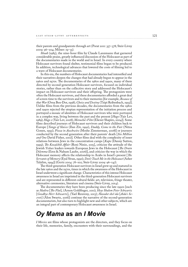their parents and grandparents through art (Porat 2011: 357–378; Steir-Livny  $2009: 96 - 204$ ; Milner:  $19 - 35$ ).

*Shoah* (1985), the nine-hour film by Claude Lanzmann that garnered considerable praise, greatly influenced discussion of the Holocaust as part of the documentaries made in the world and in Israel. In every country where Holocaust survivors found shelter, testimonial films began to be produced. In addition, technological advances that lowered the costs of filming led to a wave of Holocaust documentaries.

In this era, the numbers of Holocaust documentaries had intensified and their narratives deepen the changes that had already begun to appear in the 1960s and 1970s. The documentaries of the 1980s and 1990s, many of them directed by second-generation Holocaust survivors, focused on individual stories, rather than on the collective story and addressed the Holocaust's impact on Holocaust survivors and their offspring. The protagonists were often the Holocaust survivors, and these documentaries afforded a great deal of screen time to the survivors and to their memories [for example, *Because of that War* (Orna Ben-Dor, 1998); *Choice and Destiny* (Tzipi Reibenbach, 1993)]. Unlike films from the previous decades, the documentaries from the 1980s and 1990s rejected the utopian representation of the initiation process and portrayed a mosaic of identities of Holocaust survivors who were portrayed in a complex way, living between the past and the present [*Hugo* (Yair Lev, 1989); *Hugo 2* (Yair Lev, 2008); *Menucha's Film* (Eliezer Shapiro, 2004)]. Some films described journeys of Holocaust survivors and their children back to Europe [*Tango of Slaves* (Ilan Ziv, 1992), *Daddy, Come to the Fair* (Nitza Gonen, 1993); *Pizza in Auschwitz* (Moshe Zimmerman, 2008)] or journeys conducted by the second generation after their parents' death [*Six Million*  and One David Fisher, 2011). Other films deal with the complexity of inner relations between Jews in the concentration camps [*Kapo* (Danny Sutton, 1999); *The Kozalchik Affair* (Roni Ninio, 2015], criticize the attitude of the Jewish *Yishuv* leaders towards European Jews in the Holocaust [*The Drain Dilemma* (Erez & Nahum Laufer, 2006)], and criticize the way in which the Holocaust memory affects the relationship to Arabs in Israel's present [*The Servants of Memory* (Eyal Sivan, 1990); *Don't Touch Me in the Holocaust* (Asher Talalim, 1994)] (Gertz 2004: 78 – 102; Steir-Livny 2009: 96 – 147).

The third-generation Holocaust survivors in Israel grew up and matured in the late 1960s and the 1970s, times in which the awareness of the Holocaust in Israel underwent a significant change. Characteristics of this intense Holocaust awareness in Israel are imprinted in the third-generation Holocaust survivors and are represented in different cultural fields: art, television, fringe theater, alternative ceremonies, literature and cinema (Steir-Livny, 2014).

The documentaries they have been producing since the late 1990s [such] as *Hadira* [*The Flat*], (Arnon Goldfinger, 2011); *Heye Shalom Peter Schwartz* [*Goodbye Herr Schwartz*], (Yael Reuveny, 2013); *Hasodot shel ida* [*Aida's Secrets*] (Alon Swartz, 2016)] continue the narrative of the second-generation documentarists, but also turn to highlight new and other subjects, which are an integral part of contemporary Holocaust awareness in Israel.

# *Oy Mama* **as an** *I Movie*

*I Movies* are films whose protagonists are the directors, and they focus on their life, memories, family, encounters with their surroundings, and the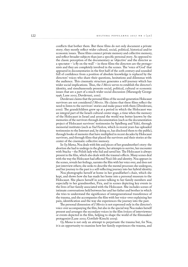conflicts that bother them. But these films do not only document a private story; they mostly reflect wider cultural, social, political, historical and/or economic issues. These films connect private memory and collective memory, and reflect broader subjects than just a specific personal story. As opposed to the classic perception of the documentary as 'objective' and the director as a spectator – 'a fly on the wall' – in these films the directors are the protagonists and they are completely involved in the scenes. The 'voice of God' that appeared in documentaries in the first half of the 20th century and sounded full of confidence from a position of absolute knowledge is replaced by the directors' voices who share their questions, hesitations and dilemmas with the audience. This cinematic structure generates a self-journey which has wider social implications. Thus, the *I Movie* serves to establish the director's identity, and simultaneously presents social, political, cultural or economic issues that are a part of a much wider social discussion (Marangoly George 1996; Lane 2002; Duvdevani, 2010).

Duvdevani claims that the personal films of the second-generation Holocaust survivors are not considered  $\overline{I}$  *Movies*. He claims that these films reflect the need to listen to the survivors' stories and make peace with them (Duvdevani, 2010). The grandchildren grew up at a period in which the Holocaust was an integral part of the Israeli cultural center stage, a time when the memory of the Holocaust in Israel and around the world was better known by the memories of the survivors through documentation (such as the documentation project of Holocaust survivors' testimonies by Spielberg and Yale), through memorial institutes (such as *Yad Vashem*, which in recent years has uploaded testimonies to the Internet and, by doing so, has disclosed them to the public), through books of memoirs that have multiplied in recent decades by Holocaust survivors, and through films that placed the survivors and their stories at the center of the cinematic collective memory.

In *Oy Mama*, Noa deals with bits and pieces of her grandmother's story: the abortion she had to undergo in the ghetto, her attempts to survive, her encounter with Stacha – the Polish lady who hid and saved her. The Holocaust is always present in the film, which also deals with the trauma's effects. Many scenes deal with the way the Holocaust had affected Noa's life and identity. Noa appears in the scenes, reveals her feelings, narrates the film with her voice over, and does not just interview others; she seeks to describe the mental processes she undergoes, and her journey to the past is a self-reflecting journey into her hybrid identity.

Noa photographs herself at home in her grandfather's chair, which she kept, and shows how she has made her home into a personal museum to the Holocaust. She places herself in scenes talking to her family members and especially to her grandmother, Fira, and in scenes depicting key events in the lives of her family associated with the Holocaust. She includes scenes of intimate conversations held between her and her father and brother in which she tries to understand the significance of intergenerational transference of the trauma, and she accompanies the film with her voice-over explaining her pain, identification and the way she experiences the journey into the past.

The personal dimension of  $IMovies$  is not expressed only in the director's voice-over accompanying the film, but also in the special way Noa makes herself present and arranges the secondary voices in the film (voices of interviewees or events depicted in the film, helping to shape the world of the filmmaker/ protagonist(Lane 2002; Gottlieb-Kimchi 2009).

*Oy Mama* is not only an attempt to perpetuate the trauma but, for Noa, it is an opportunity to examine how her family experiences the trauma, and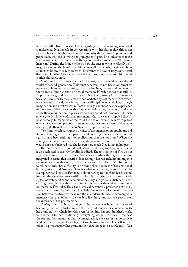how they differ from or resemble her regarding the issue of intergenerational transference. Noa reveals in conversations with her father that this is her journey, her search. She tries to understand why she is trying to preserve and perpetuate, why she is living her grandparents' past. She indicates that the trauma influenced her as early as the age of eighteen to become 'the family historian.' During the film, she shows how she tries to write her family's history, working on the family tree. She knows all the details, the dates. She is anxious to know, to ask, to research. She wants to know exactly every detail (for example, what Stacha, who saved her grandmother, looked like, what clothes she wore, etc.).

Marianne Hirsch argues that the Holocaust, as represented in the cultural works of second-generation Holocaust survivors, is not based on direct experience. It is an indirect affinity, structured on imagination and on memory that is more inherited than an actual memory. Hirsch defines that affinity as 'postmemory,' and she maintains that it is a very strong form of memory, because its links with the source are not mediated by real memories of experienced events. Instead, they derive from the filling-in of open divides through imagination and creative work. 'Post-memory' characterizes the experience of those controlled by events that happened before they were born, and who apply their imagination in places where they could not remember (Hirsch 1996: 659 – 667). Hilene Flanzbaum contends that one can also apply Hirsch's 'postmemory' to members of the third generation, who engage with places where they never stepped foot, in traumas they never underwent (Flanzbaum  $2012: 32 - 35$ . Their theories echo Noa's self-representation.

Noa films herself surrounded by piles of documents, photographs and old items belonging to her grandparents while relating in voice-over: 'In recent years, I have been sinking into recollections that are not mine.' When she arranges her grandmother's pictures, she says in the voice-over that Fira would not have believed had she known how much Noa is lost in her past.

The blur between the grandmother's past and the granddaughter's present is also reflected in the way the film is edited. The testimonies of Fira do not appear as a linear narrative but as branches spreading throughout the film, integrated in scenes that describe Noa's feelings, her research, her sinking into the memories. Furthermore, in the interviews themselves, Fira often starts to tell her stories, has difficulty in finishing them (because of the emotional burden), stops, and Noa complements what was missing in voice-over. For example, when Noa asks Fira to talk about her separation from her husband, Roman, the scene becomes so difficult for Fira that she gets confused, needs a glass of water and cannot complete the story. Only from a distance, in the editing room, is Noa able to add in her voice-over the end – Roman was murdered in Treblinka. Thus, the historical narrative is presented not just by the witness herself but also by Noa. This cinematic choice breaks the division between the direct witness and the granddaughter who is submerged in memories that are not hers. The way Noa lives her grandmother's past proves the intensity of the postmemory.

During the film, Noa confesses in her voice-over how the process of becoming the family historian and the many interviews she conducted with her grandmother, which drew her even further into her grandmother's world, were difficult for her emotionally: 'everything was blurred for me, the past, the present, her memories and my imagination,' she says in her voice-over while she presents a photomontage of two photographs: one of herself and the other – a photograph of her grandmother, that merge into a single entity. The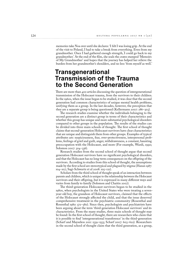memories take Noa over until she declares: 'I felt I was losing grip. At the end of the visit to Poland, I had to take a break from everything. Even from my grandmother. Once I had gathered enough strength, I could go back to my grandmother.' At the end of the film, she seals the crates stamped 'Memoirs of My Grandmother' and hopes that the journey has helped her relieve the burden from her grandmother's shoulders, and no less 'from myself as well.'

### **Transgenerational Transmission of the Trauma to the Second Generation**

There are more than 400 articles discussing the question of intergenerational transmission of the Holocaust trauma, from the survivors to their children. In the 1960s, when the issue began to be studied, it was clear that the second generation had common characteristics of unique mental health problems, unifying them as a group. In the last decades, however, the perception that they are a separate group is being questioned (Kellermann 2007: 286-303).

The research studies examine whether the individuals belonging to the second generation are a distinct group in terms of their characteristics and whether this group has unique and more substantial psychological disorders compared to other groups in the population. The results of the studies can be divided into three main schools of thought. The first school of thought claims that second-generation Holocaust survivors have clear characteristics that are unique and distinguish them from other groups. Examples of typical attributes are: suspiciousness, fear, over-protectiveness, interpersonal problems, feelings of grief and guilt, anger, withdrawnness, a constant, haunting preoccupation with the Holocaust, and more (For example, Wardi, 1990; Solomon 2007: 304–336).

Research studies from the second school of thought argue that second generation Holocaust survivors have no significant psychological disorders, and that the Holocaust has no long-term consequences on the offspring of the survivors. According to studies from this school of thought, the assumptions made by the first school are stereotypical and plagued by stigma (Hazan 1987: 104 – 107; Sagi-Schwartz et al 2008: 105 – 121).

Scholars from the third school of thought speak of an interaction between parents and children, which is unique to the relationship between the Holocaust survivors and their offspring, but it is expressed in many different ways and varies from family to family (Solomon and Chaitin 2007).

The third-generation Holocaust survivors began to be studied in the 1980s, when psychologists in the United States who were treating a sevenyear-old boy, the grandson of Holocaust survivors, claimed that the effects of the Holocaust strongly affected the child, and that the issue deserved comprehensive treatment in the psychiatric community (Rosenthal and Rosenthal 1980: 572 – 580). Since then, psychologists and psychiatrists have been arguing about the term 'third-generation Holocaust survivors' and its characteristics. From the many studies, three main schools of thought may be found: In the first school of thought, there are researchers who claim that it is possible to find 'intergenerational transference' in the third-generation (Scharf and Mayseless 2011: 1539 – 1553; Scharf 2007: 603 – 622). Researchers in the second school of thought claim that the third generation, as a group,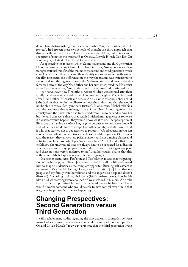do not have distinguishing trauma characteristics (Sagi-Schwartz et.al 2008: 105 – 121). In-between these two schools of thought is a third approach that discusses the impact of the Holocaust on grandchildren, but notes a wide spectrum of reactions to trauma (Bar-On 1994; Litvak-Hirsch Dan Bar-On 2007: 243 – 271; Litvak-Hirsch and Lazar 2014).

As opposed to the research, which claims that second-and third generation Holocaust survivors don't have clear characteristics, Noa represents a clear transgenerational transfer of the trauma to the second and third generation which completely shaped their lives and their identity in various ways. Furthermore, the film represents the differences in the way the trauma was transferred to the second and third generations in the Maiman family, and unveils the differences between the way Noa's father and her aunt interpreted the Holocaust as well as the way she, Noa, understands the trauma and is affected by it.

*Oy Mama* shows how Fira's (the survivor) children were named after their family members who perished in the Holocaust: her daughter Michel is named after Fira's brother (Michael) and her son Arie is named after her unborn child (Fira had an abortion in the Ghetto because she understood that she would not be able to raise a family in that situation). In one scene, Michel tells Noa that the dead were always an integral part of their lives. According to her, the anxiety from the unexpected had transferred from Fira to her and to Arie her brother and they were always preoccupied with planning an escape route, so if a disaster would happen, they would know what to do. Iat perception of life drove them to learn various languages – because one could never know if and when they would have to escape to another country and start over. That is why they learned not to get attached to property ('Good education you can take with you when you need to escape, houses and dolls you can't'). This was also the reason they always had private lessons and not dancing classes and activities, such as those which just 'waste your time.' Michel relates that from childhood she understood that she always had to be prepared for a disaster 'wherever you are, always prepare the next destination…have a gateway plan, and these notions were transferred to me.' Liat, her cousin, claims that this is the reason Michel speaks seven different languages.

In another scene, Arie, Fira's son and Noa's father, relates that the perception of the beat-up, humiliated Jew accompanied him all his life and caused him to shape his identity as the complete opposite ('Burning self-esteem is the worst…it's a terrible feeling of anger and frustration […] I feel that my people and my family were humiliated and the anger is so deep and doesn't dissolve'). According to Arie, his father's (Fira's husband) story, how he felt like a bird whose wings were chopped off was tattooed in his soul. Arie tells Noa that he had promised himself that he would never be like that. There would never be someone who would be able to have control over him in that way, or as he phrases it: 'It won't happen again.'

## **Changing Prespectives: Second Generation versus Third Generation**

The film echoes many studies regarding the close and warm connection between many Holocaust survivors and their grandchildren in Israel. For example, Bar-On and Litvak-Hirsch ((2007: 243 – 271) note that the third generation living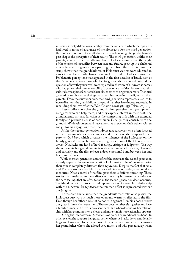in Israeli society differs considerably from the society in which their parents had lived in terms of awareness of the Holocaust. For the third generation, the Holocaust is more of a myth than a reality of ongoing life, yet the family's past shapes the perception of their reality. The third generation, unlike their parents, who had experienced being close to Holocaust survivors at the height of the tension of instability between past and future, grew up in a sheltered atmosphere with a generation separating them from the direct trauma. The study shows that the grandchildren of Holocaust victims were educated in a society that had already changed its complex attitude to Holocaust survivors. Problematic perceptions that appeared in the first decades of Israel, such as the dichotomy between those who had fought and those who had not (and the question of how they survived) were replaced by the view of survivors as heroes who had proven their immense ability to overcome atrocities. It seems that this cultural atmosphere facilitated their closeness to their grandparents. The third generation are able to see their grandparents in a more intimate light than their parents. From the survivors' side, the third generation represents a return to 'normalization': the grandchildren are proof that they have indeed succeeded in rebuilding their lives after the War (Chaitin 2007: 418–435; Telem 2013: 4–5).

These studies show that the grandchildren perceive their grandparents as figures who can help them, and they express interest in their past. The grandparents, in turn, function as the connecting link with the extended family and provide a sense of continuity. Usually, they contribute to the grandchild's development and have a positive impact on their values (Goren 2004; Hogman 1995; Fogelman 2008).

Unlike the second-generation Holocaust survivors who often focused in their documentaries on a complex and difficult relationship with their parents, *Oy Mama* which discusses the influence of the Holocaust on the family generates a much more accepting perception of the Holocaust survivors. Noa lacks any kind of hard feelings, critique or judgment. The way she represents her grandparents is with much more admiration, closeness and curiosity and the film reflects a deep emotional bond between her and her grandparents.

While the transgenerational transfer of the trauma to the second generation already appeared in second-generation Holocaust survivors' documentaries, their tone is completely different than *Oy Mama*. Despite the fact that Arie and Michel's stories resemble the stories told in the second-generation documentaries, Noa's control of the film gives them a different meaning. These stories are transferred to the audience without any bitterness, accusations or the hard feelings that are often found in the second-generation documentaries. The film does not turn to a painful representation of a complex relationship with the survivors. In  $O<sub>V</sub>$  *Mama* the trauma's affect is represented without any judgment.

The research that claims that the grandchildren's' relationship with the Holocaust survivors is much more open and warm is reflected in the film. Even though her father and aunt do not turn against Fira, Noa doesn't show any great intimacy between them. They respect her, they sit together and have a family dinner, and there is no resentment. But when describing her relationship with her grandmother, a closer and more symbiotic relationship appears.

During the interviews in *Oy Mama*, Noa holds her grandmother's hand. In other scenes, she supports her grandmother when she breaks down emotionally, hugs and kisses her. In her voice-over, Noa tells the viewers that she misses her grandfather whom she adored very much, and who passed away when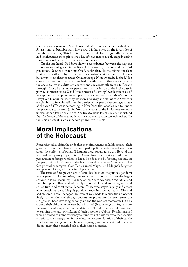she was eleven years old. She claims that, at the very moment he died, she felt a strong, unbearable pain, like a sword in her chest. In the final titles of the film, she writes, 'This film is to honor people like my grandfather who had inexhaustible strength to live a life after an inconceivable tragedy and to start new families on the ruins of their old world.'

On the one hand, *Oy Mama* shows a resemblance between the way the Holocaust was integrated in the lives of the second generation and the third generation. Noa, the director, and Ohad, her brother, like their father and their aunt, are very affected by the trauma. The constant anxiety from an unknown but always close disaster causes Ohad to keep a Ninja sword by his bed. Noa claims that both of them are drenched in exile: her brother traveled across the ocean to live in a different country and she constantly travels to Europe through Fira's albums. Arie's perception that the lesson of the Holocaust is power, is transferred to Ohad ('the concept of a strong Jewish state is a selfperception that I'm proud to be a part of'), but he simultaneously tries to run away from his original identity: he moves far away and claims that New York enables him to free himself from the burden of the past by becoming a citizen of the world ('There is something in New York that enables you to ignore the place you came from'). For Noa, the 'lessons' of the Holocaust are more universal than Jewish or Zionist. She tries to make Israeli society understand that the lesson of the traumatic past is also compassion towards 'others,' in the Israeli present, such as the foreign workers in Israel.

# **Moral Implications of the Holocaust**

Research studies claim the pride that the third generation holds towards their grandparents is being channeled into empathy, political activism and awareness about the suffering of others (Hogman 1995; Fogelman 2008). Beyond the personal family story depicted in *Oy Mama*, Noa uses this story to address the persecution of foreign workers in Israel. She does this by focusing not only on the past, but on Fira's present: she lives in an elderly person's home with her foreign worker caregiver from Peru, named Magna, and Magna's daughter, five-year-old Firita, who is facing deportation.

The issue of foreign workers in Israel has been on the public agenda in recent years. In the late 1980s, foreign workers from many countries began arriving in Israel, including Thailand, China, South America, West Africa and the Philippines. They worked mainly as household workers, caregivers, and agricultural and construction laborers. Those who stayed legally and others who sometimes stayed illegally put down roots in Israel, raised families and had children. From the 1990s, an attempt was made to reduce the number of foreign workers in Israel through deportation procedures. In recent years, the struggle has been revolving not only around the workers themselves but also around their children who were born in Israel (Natan 2015). In August 2010, the government adopted recommendations of the inter-ministerial committee to examine the status of children of foreign workers (Cabinet Resolution 2183) which decided to grant residency to hundreds of children who met specific criteria, such as integration in the education system, duration of their stay in Israel and knowledge of the Hebrew language, and to deport children who did not meet these criteria back to their home countries.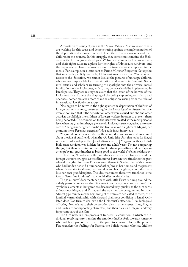Activists on this subject, such as the *Israeli Children Association* and others are working for this cause and demonstrating against the implementation of the deportation decisions in order to keep these foreign workers and their children in the country. In this struggle, they sometimes combine the Holocaust with the foreign workers' plea. Websites dealing with foreign workers and their rights allocate a place for the rights of Holocaust survivors, and the responses by Holocaust survivors to this issue are widely reported in the media. For example, in a letter sent to Prime Minister Binyamin Netanyahu that was made publicly available, Holocaust survivors wrote: 'We were witnesses to the 'Selection,' we cannot look at the pictures of unhappy children who are not responsible for their situation and remain indifferent.' Some intellectuals and scholars are turning the spotlight onto the universal moral implications of the Holocaust, which, they believe should be implemented in Israeli policy. They are raising the claim that the lesson of the horrors of the Holocaust should affect the shaping of the policy expressing sensitivity and openness, sometimes even more than the obligation arising from the rules of international law (Gabison 2009).

Noa began to be active in the fight against the deportation of children of foreign workers in 2009, volunteering in the *Israeli Children Association*. She even announced that if the deportation orders were carried out, she and other activists would hide the children of foreign workers in order to prevent them being deported. 'The connection to the issue was created at the most personal level when my grandmother, a 95-year-old Holocaust survivor, asked us to take care of "her granddaughter, Firita" the five-year-old daughter of Magna, her grandmother's Peruvian caregiver.' Noa adds in an interview:

'My grandmother was terrified of the whole idea, and we were all concerned about the fate of our friends when the 'Oz Unit' [the Unit that looks for illegal workers in order to deport them] started to operate […].My grandmother, a Polish Holocaust survivor, was hidden for two and a half years. I'm not comparing things, but there is a kind of feminine kindness prevailing and perhaps an attempt by my grandmother to bring good to the world' (Weiler Polak 2009).

In her film, Noa obscures the boundaries between the Holocaust and the foreign workers struggle, as the film moves between two timelines: the past, when during the Holocaust Fira was saved thanks to Stacha, the Polish woman who had hidden her and a number of other Jews in her home; and the present, when Fira relates to Magna, her caretaker and her daughter, whom she treats like her own granddaughter. The idea that unites these two timelines is the idea of 'feminine kindness' that should affect wider circles.

The 50 minutes' documentary opens with little Firita running around the elderly person's home shouting 'You won't catch me, you won't catch me'. The symbolic elements in her game are discovered very quickly as the film turns to introduce Magna and Firita, and the way they are being hunted in Israel. Almost 9:30 minutes at the beginning of the film are dedicated to them, their familial warm relationship with Fira and their poor condition in Israel. Only later, does Noa turn to deal with the Holocaust's effect on Fira's biological offspring. Noa relates to their persecution also in other scenes. Thus, Magna and Firita are not supporting characters, and their plea is an integral and very important part of the film.

The film reveals Fira's process of transfer – a condition in which the individual receiving care transfers the emotions he/she feels towards someone who had been part of their life in the past, to someone else in the present. Fira transfers the feelings for Stacha, the Polish woman who had hid her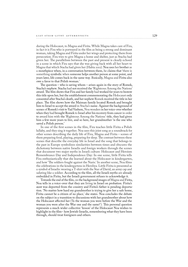during the Holocaust, to Magna and Firita. While Magna takes care of Fira, in fact it is Fira who is portrayed in the film as being a strong and dominant woman, taking Magna and Firita under her wings and protecting them from persecution. Fira tries to give Magna a home and shelter, just as Stacha had given her. The parallelism between the past and present is clearly echoed in a scene in which Fira says that she was giving back with all her heart to Magna that which Stacha had given her (Habia 2012). Noa uses her brother as a mouthpiece when, in a conversation between them, he claims that 'there is something symbolic when someone helps another person at some point, and years later, life comes back in the same way. Basically, Magna and Firita also owe a favor to that Polish woman.'

The question – who is saving whom – arises again in the story of Romek, Stacha's nephew. Stacha had not received the 'Righteous Among the Nations' award. The film shows that Fira and her family had worked for years to bestow this title upon her, but the establishment commemorating the Holocaust only consented after Stacha's death, and her nephew Romek received the title in her place. The film shows how the Maiman family located Romek and brought him to Israel to accept the award in Stacha's name. Against the background of scenes of Romek's visit to Yad Vashem, Noa wonders in her voice-over whether when they had brought Romek to Israel after his recovery from cancer in order to award him with the 'Righteous Among the Nations' title, they had given him a few more years to live, and so here, her grandmother 'is the one who saved a Polish person.'

In one of the first scenes in the film, Fira teaches little Firita a Polish lullaby, and they sing it together. Noa uses this joint song as a soundtrack for other scenes describing the daily life of Fira, Magna and Firita – scenes of them preparing food, playing, preparing for sleep. The contrast between these scenes that describe the everyday life in Israel and the song that belongs to the past in Europe symbolizes similarities between times and obscures the dichotomy between native Israelis and foreign workers through the scenes that document two major myths in Israeli culture: Holocaust and Heroism Remembrance Day and Independence Day: In one scene, little Firita tells Fira enthusiastically that she learned about the Holocaust in kindergarten, and how 'The soldiers fought against the Nazis.' In another scene, Noa films the celebrations in the kindergartens in Herzliya. Little Firita is presented as a symbol of Israelis: wearing a T-shirt with the Star of David, an army cap and saluting like a soldier. According to the film, all the Israeli myths are already embedded in Firita, but the Israeli government refuses to acknowledge it.

Towards the end of the film, on the background images of Magna and Firita, Noa tells in a voice-over that they are living in Israel on probation. Firita's aunt was deported from the country and Firita's father is pending deportation. 'No matter how hard my grandmother is trying to give her a safe home, Firita cannot be a citizen of no place,' she states. Noa concludes the debate on the subject in a transition to discussions with her grandmother about how the Holocaust affected her ('Is the woman you were before the War and the woman you were after the War one and the same?'). This personal question represents a much wider collective 'lesson' of the Holocaust Noa wishes to highlight in the film – how Jewish-Israelis, remembering what they have been through, should treat foreigners and others.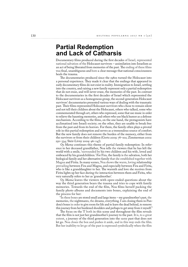#### **Partial Redemption and Lack of Catharsis**

Documentary films produced during the first decades of Israel, represented national salvation of the Holocaust survivors – assimilation into Israelism as an act of being liberated from memories of the past. The ending of these films was final, unambiguous and bore a clear message that national consciousness heals the trauma.

The documentaries produced since the 1980s turned the Holocaust into a personal experience. They made it clear that the endings that appeared in early documentary films do not exist in reality. Immigration to Israel, settling into the country, and raising a new family represent only a partial redemption that do not erase, and will never erase, the memories of the past. In contrast to the documentaries in the first decades of Israel which represented the Holocaust survivors as a homogenous group, the second-generation Holocaust survivors' documentaries presented various ways of dealing with the traumatic past. Their films represented Holocaust survivors who chose to remain silent and not tell their children about the Holocaust, others who talked, some who commemorated through art, others who repressed, some that use music in order to relieve the haunting memories, and others who use black humor as a defense mechanism. According to the films, on the one hand, the protagonists have acclimatized into Israeli society; on the other, they are unable to break free from the past and from its horrors. For them, the family often plays a pivotal role in this partial redemption and serves as a tremendous source of comfort. But the new family does not remove the burden of the memory, either from the survivors or from their children (Gertz 2009: 78 – 102; Zimmerman 2002: 250 – 334; Steir-Livny 2009: 96 – 147).

*Oy Mama* continues this theme of partial family redemption: In reference to her deceased grandfather, Noa tells the viewers that he has left the world with a smile, 'surrounded by his two children and his wife, loved and embraced by his grandchildren.' For Fira, the family is the salvation, both her biological family and her alternative family that she established together with Magna and Firita. In many scenes, Noa shows the warm, loving relationship prevailing between Fira and Magna, and especially between Fira and Firita, who is like a granddaughter to her. The warmth and love she receives from Firita lights up her face during the interaction between them and Firita, who very naturally refers to her as 'grandmother'.

*Oy Mama* leaves the viewers with open-ended questions about the way the third generation bears the trauma and tries to cope with family memories. Towards the end of the film, Noa films herself packing the family photo albums and documents into boxes, explaining the end of the process for her:

"In these boxes are stored small and large items – my grandmother's past, the memories, the nightmares, the dreams, everything. I am closing them in Pandora's boxes in order to give room for life and to leave the dead behind, to remove this journey from her burdened shoulders and perhaps to get away from it myself."

The focus on the 'I' both in this scene and throughout the film reveals that the film is not just her grandmother's journey to the past. It is, to a great extent, a journey of the third generation into the same past that does not let go. Noa closes the box and pushes it aside, and in this way ends the film. But her inability to let go of the past is expressed symbolically when the film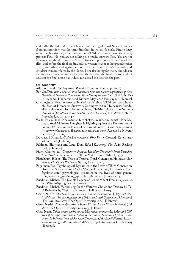ends: after the fade out to black (a common ending of films) Noa adds scenes from an interview with her grandmother, in which Noa asks Fira to keep on telling her stories ('a few more minutes'). 'Maybe I am talking too much,' protests Fira. 'No, you are not talking too much,' answers Noa, 'You are not talking enough.' Afterwards, Noa continues to postpone the ending of the film, and before the final credits, adds a written thanks to her grandmother and grandfather, and again mentions that her grandfather's first wife and children were murdered by the Nazis. 'I am also living for them,' she adds in the subtitles, thus making it clear that the box that she tried to close and set aside in the final scene has indeed not closed the door on the past.

#### BIBLIOGRAPHY

Adorno, Theodor W. *Negative Dialectics* (London: Routledge, 2000).

- Bar-On, Dan. *Bein Pahad leTikva* [*Between Fear and Silence: Life Stories of Five Families of Holocaust Survivors, Three Family Generations*] (Tel Aviv: Beit Lochamei Haghettaot and Kibbutz Meyuchad Press, 1994) [Hebrew].
- Chaitin, Julia. 'Yeladim venechadim shel nizolei shoah' ['Children and Grandchildren of Holocaust Survivors Coping with the Holocaust: Paradoxical Relevance'], In Solomon Zahava, Chaitin Julia (eds.) *Yaldut bezel hashoah* [*Childhood in the Shadow of the Holocaust*] (Tel Aviv: Kibbutz Meyuchad, 2007), 418-435.
- Weiler Polak, Dana. 'Noa maiman bito shel yosi maiman nilhemet' ['Noa Maiman, Yossi Maiman's Daughter is Fighting against the Deportation of Foreign Workers in the Name of her Grandmother'], *Ha'aretz,*14.10.2009, http://www.haaretz.co.il/news/education/1.1285079 Accessed 2 November 2012 [Heberw].
- Duvdevani Shmulik, *Guf rishon mazlema* [*First Person Camera*] (Keter: Jerusalem, 2010) [Hebrew].
- Feldman, Shoshana and Laub, Dori. *Edut* [*Testimony*] (Tel Aviv: Resling 2008) [Hebrew].
- Figley, Charles (ed.) *Compassion Fatigue: Secondary Traumatic Stress Disorders from Treating the Traumatized* (New York: Brunner/Mazel, 1995).
- Flanzbaum, Hilene, 'The Trace of Trauma: Third-Generation Holocaust Survivors,' *Phi Kappa Phi forum*, Spring, (2012), 32 – 35.
- Fogelman, Eva. 'Psychological Dynamics in the Lives of Third Generation Holocaust Survivors,' *The Hidden Child*, Vol. xv1 (2008) http://www.drevafogelman.com/\_psychological\_dynamics\_in\_the\_lives\_of\_third\_generation\_holocaust\_survivors\_\_94110.htm Accessed 1 January 2014.
- Friedman, Michal. 'The Double Legacy of Arbeit Macht Frei,' Prooftexts, 22, 1+2, Winter/Spring (2002), 200 – 220.
- Friedman, Michal. 'Witnessing for the Witness: Choice and Destiny by Tsipi Reibenbach,' Shofar, 24, Number 1, Fall (2005), 81-93.
- Gertz, Nurith. Makhela Aheret: nizoley shoa zarim veaherim [Different Cho*ir: Holocaust Survivors, Aliens and Others in Israeli Cinema and Literature*] (Tel Aviv: Am Oved/The Open University, 2004). [Hebrew].
- Gertz, Nurith. *Sipur mehasratim* [*Motion Fiction: Israeli Fiction in Films*] (Tel -Aviv: the Open University Press, 1993) [Hebrew].
- Gilad Natan, *Yaldei ovdim zarim umevakshei miklat bemaarechet hahinuch* [*Children of Foreign Workers and Asylum Seekers in the Education System – a study by the Information and Research Committee of the Israeli Knesset*] http:// www.knesset.gov.il/mmm/data/pdf/m02716.pdf Accessed 25 October 2015 [Hebrew].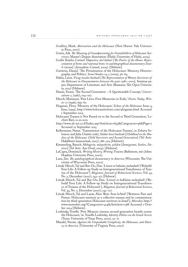- Godfrey, Mark. *Abstraction and the Holocaust* (New Haven: Yale University Press, 2007).
- Goren, Adi. The Meaning of Grandparenting for Grandchildren of Holocaust Sur*vivors*, Master's Degree dissertation (Haifa: University of Haifa, 2004).
- Gotliv Kimhi, Carmel. *Hapoetica shel habait* [*The Poetics of the Home: Representation of home and national home in autobiographical documentary Israeli cinema*]. ( Jerusalem: Carmel, 2009). [Hebrew].
- Gutwein, Daniel. 'The Privatization of the Holocaust: Memory, Historiography, and Politics,' *Israel Studies* 14.1, (2009), 36 – 64.
- Habia, Liron. *Yizug nizolot hashoah* [*The Representation of Women Survivors of the Holocaust in Documentaries between the years 1980 – 2010*]*,* Seminar paper, Department of Literature and Arts (Raanana: The Open University, 2012) [Hebrew].
- Hazan, Yoram. 'The Second Generation A Questionable Concept,' Conversations 2, (1987), 104-107.
- Hirsch, Marianne, 'Past Lives, First Memories in Exile,' *Poetics Today, Win*ter 17 (1996), 659–67.
- Hogman, Flora. 'Memory of the Holocaust,' *Echoes of the Holocaust*, Issue 4, June, (1995), http://www.holocaustechoes.com/4hogman.html Accessed 2 September 2013.
- Holocaust Trauma is Not Passed on to the Second or Third Generation,' Lechiot Bari, 12.20.2012
- http://www.2b-ari.co.il/Index.asp?ArticleID=1833&CategoryID=96&Page=1 Accessed 22 September 2015.
- Kellermann, Natan. 'Transmission of the Holocaust Trauma', in Zehava Solomon and Julia Chaitin (eds), *Yaldut bezel hashoah* [*Childhood in the Shadow of the Holocaust: Child Survivors and Second Generation*] (Tel Aviv: Hakibbutz hameuchad, 2007), 286-303 [Hebrew].
- Kimmerling, Baruch. *Mehagrim, mityashvim, yelidim* [*Immigrants, Settlers, Natives*] (Tel Aviv: Am Oved, 2004). [Hebrew]
- LaCapra, Dominick. *Writing History, Writing Trauma* (Baltimore, MD: Johns Hopkins University Press, 2000).
- Lane, Jim. *The autobiographical documentary in America* (Wisconsin: The University of Wisconsin Press, 2002).
- Litvak-Hirsch, Tal and Bar-On, Dan. 'Livnot et hahaim mehadash' ['Rebuild Your Life: A Follow-up Study on Intergenerational Transference of Trauma of the Holocaust'] *Megamot, Journal of Behavioral Sciences*, Vol. 45, No. 2, December (2007), 243-271 [Hebrew].
- Litvak-Hirsch, Tal and Bar-On, Dan. 'Livnot et haHaim mehadash' ['Rebuild Your Life: A Follow-up Study on Intergenerational Transference of Trauma of the Holocaust'], *Megamot, Journal of Behavioral Sciences*, Vol. 45, No. 2, December (2007), 243 – 271.
- Litvak-Hirsch, Tal and Lazar, Alon 'Bein Avar leAtid' ['Between Past and Future: Holocaust memory as a collective trauma and its commemoration by third-generation Holocaust survivors in Israel'], *Moreshet*, http:// www.moreshet.org/?CategoryID=414&ArticleID=1388 Accessed 2 October 2014 [Hebrew].
- Loshitzky, Yoseffa. 'Post-Memory cinema: second-generation Israelis screen the Holocaust,' in: Yoseffa Loshitzky, *Identity Politics on the Israeli Screen (*Texas: University of Texas Press, 2002), 32 – 71.
- Mandel, Naomi. *Against the Unspeakable Complicity, the Holocaust, and Slavery in America,* (University of Virginia Press, 2007).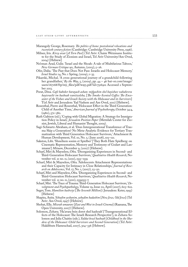- Marangoly George, Rosemary. *The politics of home: postcolonial relocations and twentieth century +ction* (Cambridge: Cambridge University Press, 1996).
- Milner, Iris. *Kirey avar* [*A Torn Past*] (Tel Aviv: Chaim Weizmann Institute for the Study of Zionism and Israel, Tel Aviv University/Am Oved, 2004) [Hebrew]
- Ne'eman Arad, Gulie. 'Israel and the Shoah: A tale of Multifarious Taboos,' *New German Critique* 90, Autumn, (2003), 5-26.
- Ofer, Dalia. 'The Past that Does Not Pass: Israelis and Holocaust Memory,' *Israel Studies* 14, No. 1 Spring, (2009), 1-35.
- Pikarski, Michal. 'A cross generational journey of a grandchild following her grandfather,' *By the Way*, 5, (2009), pp. 44 – 46 bat-or.com/image/ users/167168/ftp/my\_files/pdf/way5.pdf?id=7516912 Accessed 2 September 2013.
- Porat, Dina. *Café haboker barayach ashan: mifgashim shel hayishuv vahahevra hayisraelit im hashoah vanitzoleha,* [The Smoke-Scented Coffee: The Enco*unter of the Yishuv and Israeli Society with the Holocaust and its Survivors*] T(el Aviv and Jerusalem: Yad Vashem and Am Oved, 2011) [Hebrew].
- Rosenthal, Pierre and Rosenthal, 'Holocaust Effect in the Third Generation: Child of Another Time,' *American Journal of Psychotherapy*, October 34:4,  $(1980), 572 - 580.$
- Ruth Gabison (ed.), 'Coping with Global Migration: A Strategy for Immigration Policy in Israel,' *Jerusalem Position Paper* (Metzilah Center for Zionist, Jewish, Liberal and Humanist Thought, 2009).
- Sagi-Schwartz Abraham, et al. 'Does Intergenerational Transference of Trauma Skip a Generation? No Meta-Analytic Evidence for Tertiary Traumatization with Third Generation Holocaust Survivors,' Attachment & Human Development, Vol. 10, No. 2, (June 2008), 105–121.
- Sakston, Libi. 'Shneihem sonim et Spielber' ['They Both Hate Spielberg: on Cinematic Representation, Memory and Testimony of Godart and Lanzmann'] *Mitaam*, December 9, (2007) [Hebrew].
- Scharf, Miri & Mayseless, Ofra. 'Disorganizing Experiences in Second- and Third-Generation Holocaust Survivors,' *Qualitative Health Research*, November vol. 21 no. 11, (2011), 1553–1539
- Scharf, Miri & Mayseless, Ofra. 'Adolescents Attachment Representations and their Capacity for Intimacy in Close Relationships,' *Journal of Research on Adolescence*, Vol. 17, No. 1, (2007), 23-50.
- Scharf, Miri and Mayseless, Ofra. 'Disorganizing Experiences in Second- and Third-Generation Holocaust Survivors,' *Qualitative Health Research*, November vol. 21 no. 11, (2011), 15391553- $\gamma$
- Scharf, Miri. 'The Trace of Trauma: Third-Generation Holocaust Survivors,' De*velopment and Psychopathology*, Volume 19, Issue 02, April (2007), 603-622.
- Segev, Tom. *Hamilion hashviyi* [*The Seventh Million*] (Jerusalem: Keter, 1993) [Hebrew]
- Shapira, Anita. *Yehudim yeshanim, yehudim hadashim* [*New Jews, Old Jews*] (Tel Aviv: Am Oved, 1997) [Hebrew].
- Shohat, Ella. *Mizrah umaarav* [*East and West in Israeli Cinema*] (Raanana, The Open University, 2007) [Hebrew].
- Solomon, Zehava. 'Ha'avara bein dorot shel hashoah' ['Transgenerational Effects of the Holocaust: The Israeli Research Perspective'], in Zehava Solomon and Julia Chaitin (eds.), *Yaldut bezel hashoah* [*Childhood in the Shadow of the Holocaust: Child Survivors and Second Generation*] (Tel Aviv: Hakibbutz Hameuchad, 2007), 304-336 [Hebrew].